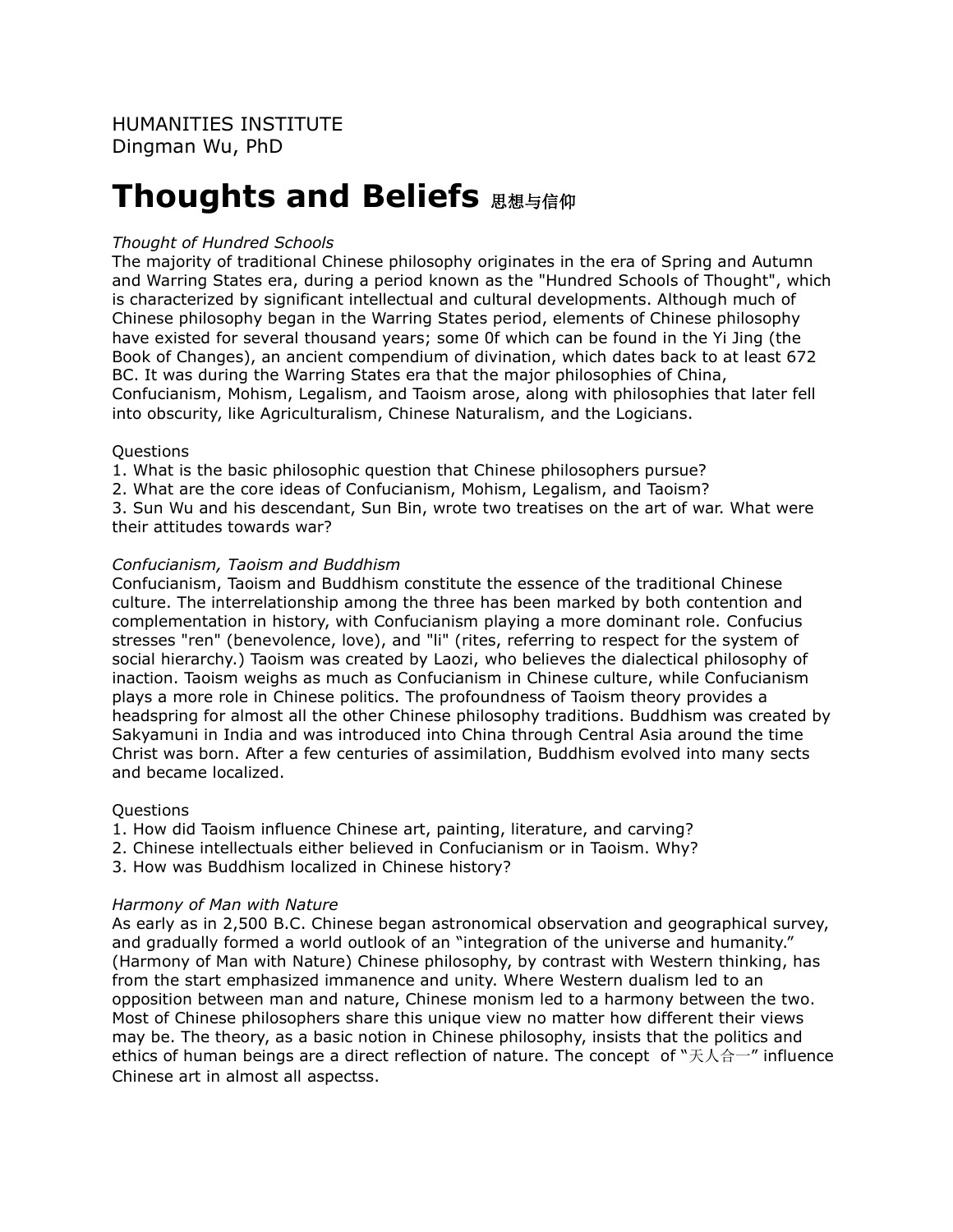# **Thoughts and Beliefs**  $B$ **思想与信仰**

# *Thought of Hundred Schools*

The majority of traditional Chinese philosophy originates in the era of Spring and Autumn and Warring States era, during a period known as the "Hundred Schools of Thought", which is characterized by significant intellectual and cultural developments. Although much of Chinese philosophy began in the Warring States period, elements of Chinese philosophy have existed for several thousand years; some 0f which can be found in the Yi Jing (the Book of Changes), an ancient compendium of divination, which dates back to at least 672 BC. It was during the Warring States era that the major philosophies of China, Confucianism, Mohism, Legalism, and Taoism arose, along with philosophies that later fell into obscurity, like Agriculturalism, Chinese Naturalism, and the Logicians.

### Questions

1. What is the basic philosophic question that Chinese philosophers pursue?

2. What are the core ideas of Confucianism, Mohism, Legalism, and Taoism?

3. Sun Wu and his descendant, Sun Bin, wrote two treatises on the art of war. What were their attitudes towards war?

## *Confucianism, Taoism and Buddhism*

Confucianism, Taoism and Buddhism constitute the essence of the traditional Chinese culture. The interrelationship among the three has been marked by both contention and complementation in history, with Confucianism playing a more dominant role. Confucius stresses "ren" (benevolence, love), and "li" (rites, referring to respect for the system of social hierarchy.) Taoism was created by Laozi, who believes the dialectical philosophy of inaction. Taoism weighs as much as Confucianism in Chinese culture, while Confucianism plays a more role in Chinese politics. The profoundness of Taoism theory provides a headspring for almost all the other Chinese philosophy traditions. Buddhism was created by Sakyamuni in India and was introduced into China through Central Asia around the time Christ was born. After a few centuries of assimilation, Buddhism evolved into many sects and became localized.

# **Ouestions**

- 1. How did Taoism influence Chinese art, painting, literature, and carving?
- 2. Chinese intellectuals either believed in Confucianism or in Taoism. Why?
- 3. How was Buddhism localized in Chinese history?

### *Harmony of Man with Nature*

As early as in 2,500 B.C. Chinese began astronomical observation and geographical survey, and gradually formed a world outlook of an "integration of the universe and humanity." (Harmony of Man with Nature) Chinese philosophy, by contrast with Western thinking, has from the start emphasized immanence and unity. Where Western dualism led to an opposition between man and nature, Chinese monism led to a harmony between the two. Most of Chinese philosophers share this unique view no matter how different their views may be. The theory, as a basic notion in Chinese philosophy, insists that the politics and ethics of human beings are a direct reflection of nature. The concept of "天人合一" influence Chinese art in almost all aspectss.